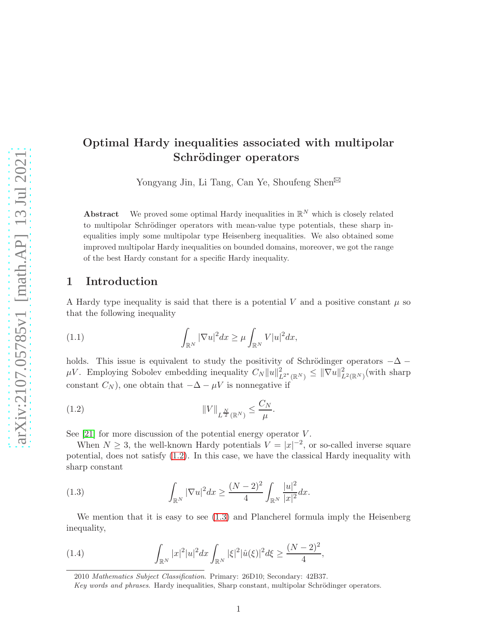# Optimal Hardy inequalities associated with multipolar Schrödinger operators

Yongyang Jin, Li Tang, Can Ye, Shoufeng Shen

**Abstract** We proved some optimal Hardy inequalities in  $\mathbb{R}^N$  which is closely related to multipolar Schrödinger operators with mean-value type potentials, these sharp inequalities imply some multipolar type Heisenberg inequalities. We also obtained some improved multipolar Hardy inequalities on bounded domains, moreover, we got the range of the best Hardy constant for a specific Hardy inequality.

### 1 Introduction

A Hardy type inequality is said that there is a potential V and a positive constant  $\mu$  so that the following inequality

<span id="page-0-3"></span>(1.1) 
$$
\int_{\mathbb{R}^N} |\nabla u|^2 dx \ge \mu \int_{\mathbb{R}^N} V|u|^2 dx,
$$

holds. This issue is equivalent to study the positivity of Schrödinger operators  $-\Delta$  −  $\mu V$ . Employing Sobolev embedding inequality  $C_N ||u||^2_{L^{2^*}(\mathbb{R}^N)} \leq ||\nabla u||^2_{L^2(\mathbb{R}^N)}$  (with sharp constant  $C_N$ ), one obtain that  $-\Delta - \mu V$  is nonnegative if

<span id="page-0-0"></span>(1.2) kV k L N <sup>2</sup> (R<sup>N</sup> ) ≤ C<sup>N</sup> µ .

See  $[21]$  for more discussion of the potential energy operator V.

When  $N \geq 3$ , the well-known Hardy potentials  $V = |x|^{-2}$ , or so-called inverse square potential, does not satisfy [\(1.2\)](#page-0-0). In this case, we have the classical Hardy inequality with sharp constant

<span id="page-0-1"></span>(1.3) 
$$
\int_{\mathbb{R}^N} |\nabla u|^2 dx \geq \frac{(N-2)^2}{4} \int_{\mathbb{R}^N} \frac{|u|^2}{|x|^2} dx.
$$

We mention that it is easy to see [\(1.3\)](#page-0-1) and Plancherel formula imply the Heisenberg inequality,

(1.4) 
$$
\int_{\mathbb{R}^N} |x|^2 |u|^2 dx \int_{\mathbb{R}^N} |\xi|^2 |\hat{u}(\xi)|^2 d\xi \geq \frac{(N-2)^2}{4},
$$

<span id="page-0-2"></span><sup>2010</sup> Mathematics Subject Classification. Primary: 26D10; Secondary: 42B37.

Key words and phrases. Hardy inequalities, Sharp constant, multipolar Schrödinger operators.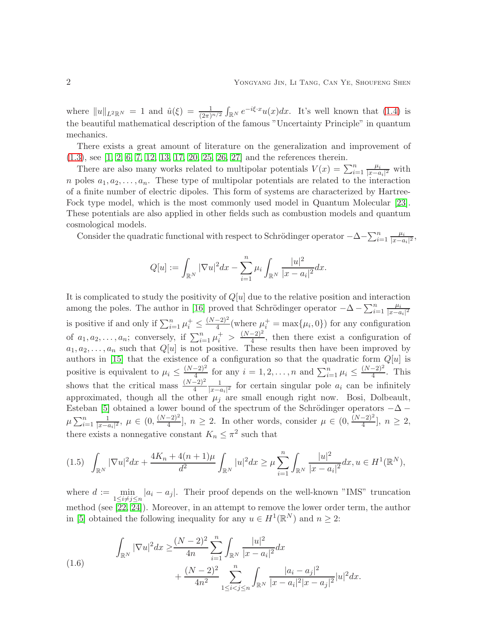where  $||u||_{L^2\mathbb{R}^N} = 1$  and  $\hat{u}(\xi) = \frac{1}{(2\pi)^{n/2}} \int_{\mathbb{R}^N} e^{-i\xi \cdot x} u(x) dx$ . It's well known that [\(1.4\)](#page-0-2) is the beautiful mathematical description of the famous "Uncertainty Principle" in quantum mechanics.

There exists a great amount of literature on the generalization and improvement of [\(1.3\)](#page-0-1), see [\[1,](#page-13-0) [2,](#page-13-1) [6,](#page-14-0) [7,](#page-14-1) [12,](#page-14-2) [13,](#page-14-3) [17,](#page-14-4) [20,](#page-15-1) [25,](#page-15-2) [26,](#page-15-3) [27\]](#page-15-4) and the references therein.

There are also many works related to multipolar potentials  $V(x) = \sum_{i=1}^{n} \frac{\mu_i}{|x-a|}$  $\frac{\mu_i}{|x-a_i|^2}$  with n poles  $a_1, a_2, \ldots, a_n$ . These type of multipolar potentials are related to the interaction of a finite number of electric dipoles. This form of systems are characterized by Hartree-Fock type model, which is the most commonly used model in Quantum Molecular [\[23\]](#page-15-5). These potentials are also applied in other fields such as combustion models and quantum cosmological models.

Consider the quadratic functional with respect to Schrödinger operator  $-\Delta - \sum_{i=1}^{n} \frac{\mu_i}{|x-a|}$  $\frac{\mu_i}{|x-a_i|^2},$ 

$$
Q[u] := \int_{\mathbb{R}^N} |\nabla u|^2 dx - \sum_{i=1}^n \mu_i \int_{\mathbb{R}^N} \frac{|u|^2}{|x - a_i|^2} dx.
$$

It is complicated to study the positivity of  $Q[u]$  due to the relative position and interaction among the poles. The author in [\[16\]](#page-14-5) proved that Schrödinger operator  $-\Delta - \sum_{i=1}^{n} \frac{\mu_i}{|x-a|}$  $|x-a_i|^2$ is positive if and only if  $\sum_{i=1}^{n} \mu_i^+ \leq \frac{(N-2)^2}{4}$  $\frac{(-2)^2}{4}$  (where  $\mu_i^+$  = max $\{\mu_i, 0\}$ ) for any configuration of  $a_1, a_2, ..., a_n$ ; conversely, if  $\sum_{i=1}^n \mu_i^+ > \frac{(N-2)^2}{4}$  $\frac{-2}{4}$ , then there exist a configuration of  $a_1, a_2, \ldots, a_n$  such that  $Q[u]$  is not positive. These results then have been improved by authors in [\[15\]](#page-14-6) that the existence of a configuration so that the quadratic form  $Q[u]$  is positive is equivalent to  $\mu_i \leq \frac{(N-2)^2}{4}$  $\frac{(-2)^2}{4}$  for any  $i = 1, 2, ..., n$  and  $\sum_{i=1}^{n} \mu_i \leq \frac{(N-2)^2}{4}$  $\frac{-2j}{4}$ . This shows that the critical mass  $\frac{(N-2)^2}{4}$ 1  $\frac{1}{|x-a_i|^2}$  for certain singular pole  $a_i$  can be infinitely approximated, though all the other  $\mu_j$  are small enough right now. Bosi, Dolbeault, Esteban [\[5\]](#page-14-7) obtained a lower bound of the spectrum of the Schrödinger operators  $-\Delta$  −  $\mu \sum_{i=1}^n \frac{1}{|x-i|}$  $\frac{1}{|x-a_i|^2}, \mu \in (0, \frac{(N-2)^2}{4})$  $\left(-\frac{(-2)^2}{4}\right], n \geq 2.$  In other words, consider  $\mu \in (0, \frac{(N-2)^2}{4})$  $\frac{-2)^{-}}{4}$ ,  $n \geq 2$ , there exists a nonnegative constant  $K_n \leq \pi^2$  such that

$$
(1.5)\quad \int_{\mathbb{R}^N} |\nabla u|^2 dx + \frac{4K_n + 4(n+1)\mu}{d^2} \int_{\mathbb{R}^N} |u|^2 dx \ge \mu \sum_{i=1}^n \int_{\mathbb{R}^N} \frac{|u|^2}{|x - a_i|^2} dx, u \in H^1(\mathbb{R}^N),
$$

where  $d := \min_{1 \leq i \neq j \leq n} |a_i - a_j|$ . Their proof depends on the well-known "IMS" truncation method (see [\[22,](#page-15-6) [24\]](#page-15-7)). Moreover, in an attempt to remove the lower order term, the author in [\[5\]](#page-14-7) obtained the following inequality for any  $u \in H^1(\mathbb{R}^N)$  and  $n \geq 2$ :

<span id="page-1-0"></span>(1.6) 
$$
\int_{\mathbb{R}^N} |\nabla u|^2 dx \geq \frac{(N-2)^2}{4n} \sum_{i=1}^n \int_{\mathbb{R}^N} \frac{|u|^2}{|x-a_i|^2} dx + \frac{(N-2)^2}{4n^2} \sum_{1 \leq i < j \leq n}^n \int_{\mathbb{R}^N} \frac{|a_i-a_j|^2}{|x-a_i|^2 |x-a_j|^2} |u|^2 dx.
$$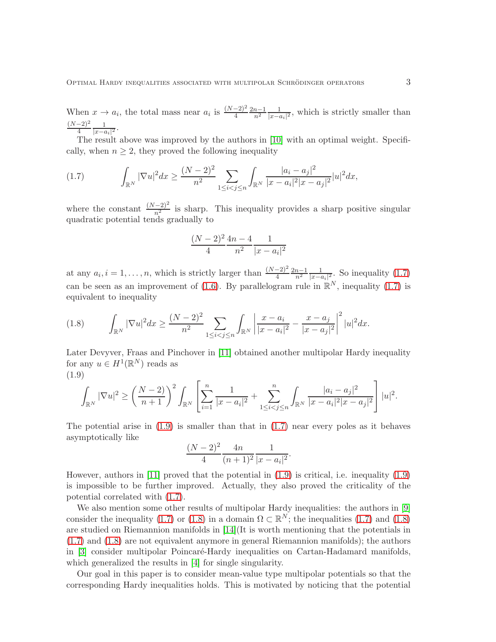When  $x \to a_i$ , the total mass near  $a_i$  is  $\frac{(N-2)^2}{4}$  $\frac{2n-1}{n^2} \frac{1}{|x-\alpha|}$  $\frac{1}{|x-a_i|^2}$ , which is strictly smaller than  $(N-2)^2$ 4 1  $\frac{1}{|x-a_i|^2}$ .

The result above was improved by the authors in [\[10\]](#page-14-8) with an optimal weight. Specifically, when  $n \geq 2$ , they proved the following inequality

<span id="page-2-0"></span>
$$
(1.7) \qquad \int_{\mathbb{R}^N} |\nabla u|^2 dx \ge \frac{(N-2)^2}{n^2} \sum_{1 \le i < j \le n} \int_{\mathbb{R}^N} \frac{|a_i - a_j|^2}{|x - a_i|^2 |x - a_j|^2} |u|^2 dx,
$$

where the constant  $\frac{(N-2)^2}{n^2}$  is sharp. This inequality provides a sharp positive singular quadratic potential tends gradually to

$$
\frac{(N-2)^2}{4} \frac{4n-4}{n^2} \frac{1}{|x-a_i|^2}
$$

at any  $a_i, i = 1, \ldots, n$ , which is strictly larger than  $\frac{(N-2)^2}{4}$  $\frac{2n-1}{n^2} \frac{1}{|x-\alpha|}$  $\frac{1}{|x-a_i|^2}$ . So inequality [\(1.7\)](#page-2-0) can be seen as an improvement of [\(1.6\)](#page-1-0). By parallelogram rule in  $\mathbb{R}^N$ , inequality [\(1.7\)](#page-2-0) is equivalent to inequality

<span id="page-2-2"></span>
$$
(1.8)\qquad \int_{\mathbb{R}^N} |\nabla u|^2 dx \ge \frac{(N-2)^2}{n^2} \sum_{1 \le i < j \le n} \int_{\mathbb{R}^N} \left| \frac{x - a_i}{|x - a_i|^2} - \frac{x - a_j}{|x - a_j|^2} \right|^2 |u|^2 dx.
$$

Later Devyver, Fraas and Pinchover in [\[11\]](#page-14-9) obtained another multipolar Hardy inequality for any  $u \in H^1(\mathbb{R}^N)$  reads as (1.9)

<span id="page-2-1"></span>
$$
\int_{\mathbb{R}^N} |\nabla u|^2 \ge \left(\frac{N-2}{n+1}\right)^2 \int_{\mathbb{R}^N} \left[\sum_{i=1}^n \frac{1}{|x-a_i|^2} + \sum_{1 \le i < j \le n}^n \int_{\mathbb{R}^N} \frac{|a_i-a_j|^2}{|x-a_i|^2 |x-a_j|^2}\right] |u|^2.
$$

The potential arise in  $(1.9)$  is smaller than that in  $(1.7)$  near every poles as it behaves asymptotically like

$$
\frac{(N-2)^2}{4} \frac{4n}{(n+1)^2} \frac{1}{|x-a_i|^2}.
$$

However, authors in [\[11\]](#page-14-9) proved that the potential in [\(1.9\)](#page-2-1) is critical, i.e. inequality [\(1.9\)](#page-2-1) is impossible to be further improved. Actually, they also proved the criticality of the potential correlated with [\(1.7\)](#page-2-0).

We also mention some other results of multipolar Hardy inequalities: the authors in [\[9\]](#page-14-10) consider the inequality [\(1.7\)](#page-2-0) or [\(1.8\)](#page-2-2) in a domain  $\Omega \subset \mathbb{R}^N$ ; the inequalities (1.7) and (1.8) are studied on Riemannion manifolds in  $[14]$ (It is worth mentioning that the potentials in [\(1.7\)](#page-2-0) and [\(1.8\)](#page-2-2) are not equivalent anymore in general Riemannion manifolds); the authors in [\[3\]](#page-13-2) consider multipolar Poincaré-Hardy inequalities on Cartan-Hadamard manifolds, which generalized the results in [\[4\]](#page-14-12) for single singularity.

Our goal in this paper is to consider mean-value type multipolar potentials so that the corresponding Hardy inequalities holds. This is motivated by noticing that the potential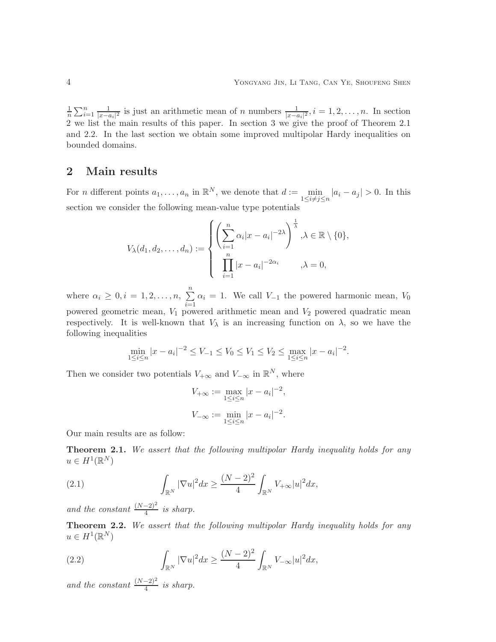$\frac{1}{n}\sum_{i=1}^n\frac{1}{|x-i|}$  $\frac{1}{|x-a_i|^2}$  is just an arithmetic mean of *n* numbers  $\frac{1}{|x-a_i|^2}$ , *i* = 1, 2, ..., *n*. In section 2 we list the main results of this paper. In section 3 we give the proof of Theorem 2.1 and 2.2. In the last section we obtain some improved multipolar Hardy inequalities on bounded domains.

## 2 Main results

For *n* different points  $a_1, \ldots, a_n$  in  $\mathbb{R}^N$ , we denote that  $d := \min_{1 \le i \ne j \le n} |a_i - a_j| > 0$ . In this section we consider the following mean-value type potentials

$$
V_{\lambda}(d_1, d_2, \dots, d_n) := \begin{cases} \left(\sum_{i=1}^n \alpha_i |x - a_i|^{-2\lambda}\right)^{\frac{1}{\lambda}}, \lambda \in \mathbb{R} \setminus \{0\}, \\ \prod_{i=1}^n |x - a_i|^{-2\alpha_i}, \lambda = 0, \end{cases}
$$

where  $\alpha_i \geq 0, i = 1, 2, \ldots, n, \sum_{i=1}^{n}$  $i=1$  $\alpha_i = 1$ . We call  $V_{-1}$  the powered harmonic mean,  $V_0$ powered geometric mean,  $V_1$  powered arithmetic mean and  $V_2$  powered quadratic mean respectively. It is well-known that  $V_{\lambda}$  is an increasing function on  $\lambda$ , so we have the following inequalities

$$
\min_{1 \le i \le n} |x - a_i|^{-2} \le V_{-1} \le V_0 \le V_1 \le V_2 \le \max_{1 \le i \le n} |x - a_i|^{-2}.
$$

Then we consider two potentials  $V_{+\infty}$  and  $V_{-\infty}$  in  $\mathbb{R}^N$ , where

$$
V_{+\infty} := \max_{1 \le i \le n} |x - a_i|^{-2},
$$
  

$$
V_{-\infty} := \min_{1 \le i \le n} |x - a_i|^{-2}.
$$

Our main results are as follow:

**Theorem 2.1.** We assert that the following multipolar Hardy inequality holds for any  $u \in H^1(\mathbb{R}^N)$ 

<span id="page-3-0"></span>(2.1) 
$$
\int_{\mathbb{R}^N} |\nabla u|^2 dx \geq \frac{(N-2)^2}{4} \int_{\mathbb{R}^N} V_{+\infty} |u|^2 dx,
$$

and the constant  $\frac{(N-2)^2}{4}$  is sharp.

**Theorem 2.2.** We assert that the following multipolar Hardy inequality holds for any  $u \in H^1(\mathbb{R}^N)$ 

<span id="page-3-1"></span>(2.2) 
$$
\int_{\mathbb{R}^N} |\nabla u|^2 dx \geq \frac{(N-2)^2}{4} \int_{\mathbb{R}^N} V_{-\infty} |u|^2 dx,
$$

and the constant  $\frac{(N-2)^2}{4}$  is sharp.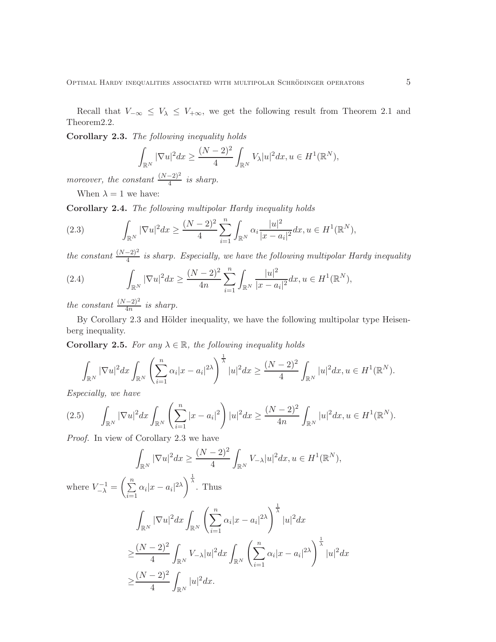Recall that  $V_{-\infty} \leq V_{\lambda} \leq V_{+\infty}$ , we get the following result from Theorem 2.1 and Theorem2.2.

Corollary 2.3. The following inequality holds

$$
\int_{\mathbb{R}^N} |\nabla u|^2 dx \ge \frac{(N-2)^2}{4} \int_{\mathbb{R}^N} V_\lambda |u|^2 dx, u \in H^1(\mathbb{R}^N),
$$

moreover, the constant  $\frac{(N-2)^2}{4}$  is sharp.

When  $\lambda = 1$  we have:

Corollary 2.4. The following multipolar Hardy inequality holds

<span id="page-4-0"></span>(2.3) 
$$
\int_{\mathbb{R}^N} |\nabla u|^2 dx \geq \frac{(N-2)^2}{4} \sum_{i=1}^n \int_{\mathbb{R}^N} \alpha_i \frac{|u|^2}{|x-a_i|^2} dx, u \in H^1(\mathbb{R}^N),
$$

the constant  $\frac{(N-2)^2}{4}$  is sharp. Especially, we have the following multipolar Hardy inequality

(2.4) 
$$
\int_{\mathbb{R}^N} |\nabla u|^2 dx \ge \frac{(N-2)^2}{4n} \sum_{i=1}^n \int_{\mathbb{R}^N} \frac{|u|^2}{|x-a_i|^2} dx, u \in H^1(\mathbb{R}^N),
$$

the constant  $\frac{(N-2)^2}{4n}$  is sharp.

By Corollary 2.3 and Hölder inequality, we have the following multipolar type Heisenberg inequality.

**Corollary 2.5.** For any  $\lambda \in \mathbb{R}$ , the following inequality holds

$$
\int_{\mathbb{R}^N}|\nabla u|^2dx\int_{\mathbb{R}^N}\left(\sum_{i=1}^n\alpha_i|x-a_i|^{2\lambda}\right)^{\frac{1}{\lambda}}|u|^2dx\geq \frac{(N-2)^2}{4}\int_{\mathbb{R}^N}|u|^2dx, u\in H^1(\mathbb{R}^N).
$$

Especially, we have

$$
(2.5) \qquad \int_{\mathbb{R}^N} |\nabla u|^2 dx \int_{\mathbb{R}^N} \left( \sum_{i=1}^n |x - a_i|^2 \right) |u|^2 dx \ge \frac{(N-2)^2}{4n} \int_{\mathbb{R}^N} |u|^2 dx, u \in H^1(\mathbb{R}^N).
$$

Proof. In view of Corollary 2.3 we have

$$
\int_{\mathbb{R}^N} |\nabla u|^2 dx \ge \frac{(N-2)^2}{4} \int_{\mathbb{R}^N} V_{-\lambda} |u|^2 dx, u \in H^1(\mathbb{R}^N),
$$

where  $V^{-1}_{-\lambda} = \left(\sum_{i=1}^n\right)$  $i=1$  $\alpha_i |x - a_i|^{2\lambda}$  Thus ˆ  $\int_{\mathbb{R}^N}|\nabla u|^{2}dx\int_{\mathbb{R}^N}$  $\left(\sum_{n=1}^{\infty}\right)$  $i=1$  $\alpha_i |x - a_i|^{2\lambda}$  $|u|^2 dx$  $\geq \frac{(N-2)^2}{4}$ 4 ˆ  $\int_{\mathbb{R}^N} V_{-\lambda} |u|^2 dx \int_{\mathbb{R}^N}$  $\left(\sum_{n=1}^{\infty}\right)$  $i=1$  $\alpha_i |x - a_i|^{2\lambda}$  $|u|^2 dx$  $\geq \frac{(N-2)^2}{4}$ 4 ˆ  $\int_{\mathbb{R}^N} |u|^2 dx.$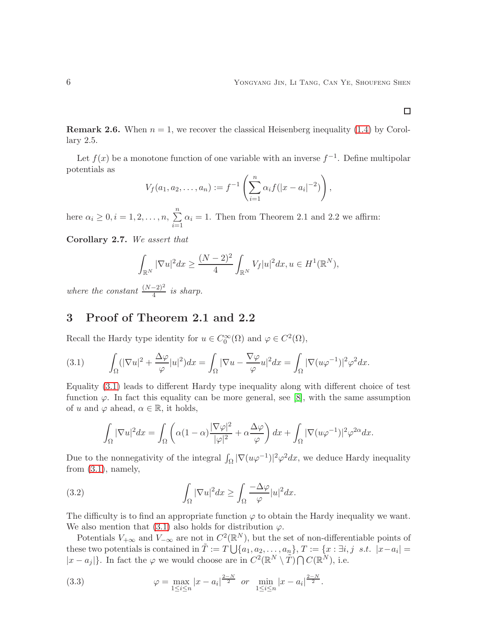**Remark 2.6.** When  $n = 1$ , we recover the classical Heisenberg inequality [\(1.4\)](#page-0-2) by Corollary 2.5.

Let  $f(x)$  be a monotone function of one variable with an inverse  $f^{-1}$ . Define multipolar potentials as

$$
V_f(a_1, a_2, \ldots, a_n) := f^{-1}\left(\sum_{i=1}^n \alpha_i f(|x - a_i|^{-2})\right),
$$

here  $\alpha_i \geq 0, i = 1, 2, \ldots, n, \sum_{i=1}^{n}$  $i=1$  $\alpha_i = 1$ . Then from Theorem 2.1 and 2.2 we affirm:

Corollary 2.7. We assert that

$$
\int_{\mathbb{R}^N} |\nabla u|^2 dx \ge \frac{(N-2)^2}{4} \int_{\mathbb{R}^N} V_f |u|^2 dx, u \in H^1(\mathbb{R}^N),
$$

where the constant  $\frac{(N-2)^2}{4}$  is sharp.

## 3 Proof of Theorem 2.1 and 2.2

Recall the Hardy type identity for  $u \in C_0^{\infty}(\Omega)$  and  $\varphi \in C^2(\Omega)$ ,

<span id="page-5-0"></span>(3.1) 
$$
\int_{\Omega} (|\nabla u|^2 + \frac{\Delta \varphi}{\varphi} |u|^2) dx = \int_{\Omega} |\nabla u - \frac{\nabla \varphi}{\varphi} u|^2 dx = \int_{\Omega} |\nabla (u \varphi^{-1})|^2 \varphi^2 dx.
$$

Equality [\(3.1\)](#page-5-0) leads to different Hardy type inequality along with different choice of test function  $\varphi$ . In fact this equality can be more general, see [\[8\]](#page-14-13), with the same assumption of u and  $\varphi$  ahead,  $\alpha \in \mathbb{R}$ , it holds,

$$
\int_{\Omega} |\nabla u|^2 dx = \int_{\Omega} \left( \alpha (1 - \alpha) \frac{|\nabla \varphi|^2}{|\varphi|^2} + \alpha \frac{\Delta \varphi}{\varphi} \right) dx + \int_{\Omega} |\nabla (u \varphi^{-1})|^2 \varphi^{2\alpha} dx.
$$

Due to the nonnegativity of the integral  $\int_{\Omega} |\nabla(u\varphi^{-1})|^2 \varphi^2 dx$ , we deduce Hardy inequality from  $(3.1)$ , namely,

(3.2) 
$$
\int_{\Omega} |\nabla u|^2 dx \ge \int_{\Omega} \frac{-\Delta \varphi}{\varphi} |u|^2 dx.
$$

The difficulty is to find an appropriate function  $\varphi$  to obtain the Hardy inequality we want. We also mention that [\(3.1\)](#page-5-0) also holds for distribution  $\varphi$ .

Potentials  $V_{+\infty}$  and  $V_{-\infty}$  are not in  $C^2(\mathbb{R}^N)$ , but the set of non-differentiable points of these two potentials is contained in  $\tilde{T} := T \bigcup \{a_1, a_2, \ldots, a_n\}, T := \{x : \exists i, j \; s.t. \; |x - a_i| =$  $|x - a_j|$ . In fact the  $\varphi$  we would choose are in  $C^2(\mathbb{R}^N \setminus \tilde{T}) \bigcap C(\mathbb{R}^N)$ , i.e.

<span id="page-5-1"></span>(3.3) 
$$
\varphi = \max_{1 \le i \le n} |x - a_i|^{\frac{2-N}{2}} \text{ or } \min_{1 \le i \le n} |x - a_i|^{\frac{2-N}{2}}.
$$

 $\Box$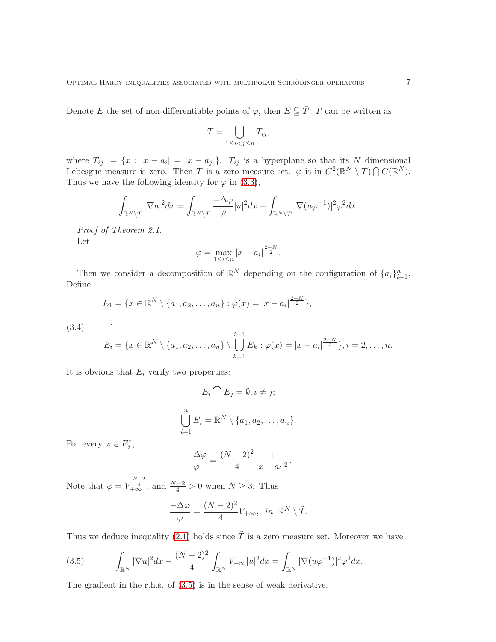Denote E the set of non-differentiable points of  $\varphi$ , then  $E \subseteq \tilde{T}$ . T can be written as

$$
T=\bigcup_{1\leq i
$$

where  $T_{ij} := \{x : |x - a_i| = |x - a_j|\}.$   $T_{ij}$  is a hyperplane so that its N dimensional Lebesgue measure is zero. Then  $\tilde{T}$  is a zero measure set.  $\varphi$  is in  $C^2(\mathbb{R}^N \setminus \tilde{T}) \bigcap C(\mathbb{R}^N)$ . Thus we have the following identity for  $\varphi$  in [\(3.3\)](#page-5-1),

$$
\int_{\mathbb{R}^N\setminus\tilde{T}}|\nabla u|^2dx=\int_{\mathbb{R}^N\setminus\tilde{T}}\frac{-\Delta\varphi}{\varphi}|u|^2dx+\int_{\mathbb{R}^N\setminus\tilde{T}}|\nabla(u\varphi^{-1})|^2\varphi^2dx.
$$

Proof of Theorem 2.1. Let

$$
\varphi = \max_{1 \le i \le n} |x - a_i|^{\frac{2-N}{2}}.
$$

Then we consider a decomposition of  $\mathbb{R}^N$  depending on the configuration of  $\{a_i\}_{i=1}^n$ . Define

$$
E_1 = \{x \in \mathbb{R}^N \setminus \{a_1, a_2, \dots, a_n\} : \varphi(x) = |x - a_i|^{\frac{2-N}{2}}\},\
$$
  
...

<span id="page-6-1"></span>(3.4)

$$
E_i = \{x \in \mathbb{R}^N \setminus \{a_1, a_2, \dots, a_n\} \setminus \bigcup_{k=1}^{i-1} E_k : \varphi(x) = |x - a_i|^{\frac{2-N}{2}}\}, i = 2, \dots, n.
$$

It is obvious that  $E_i$  verify two properties:

$$
E_i \bigcap E_j = \emptyset, i \neq j;
$$
  

$$
\bigcup_{i=1}^n E_i = \mathbb{R}^N \setminus \{a_1, a_2, \dots, a_n\}.
$$

For every  $x \in E_i^{\circ}$ ,

$$
\frac{-\Delta\varphi}{\varphi} = \frac{(N-2)^2}{4} \frac{1}{|x-a_i|^2}.
$$

Note that  $\varphi = V_{+\infty}^{\frac{N-2}{4}}$ , and  $\frac{N-2}{4} > 0$  when  $N \ge 3$ . Thus

$$
\frac{-\Delta\varphi}{\varphi} = \frac{(N-2)^2}{4}V_{+\infty}, \ \ in \ \ \mathbb{R}^N \setminus \tilde{T}.
$$

Thus we deduce inequality [\(2.1\)](#page-3-0) holds since  $\tilde{T}$  is a zero measure set. Moreover we have

<span id="page-6-0"></span>(3.5) 
$$
\int_{\mathbb{R}^N} |\nabla u|^2 dx - \frac{(N-2)^2}{4} \int_{\mathbb{R}^N} V_{+\infty} |u|^2 dx = \int_{\mathbb{R}^N} |\nabla (u \varphi^{-1})|^2 \varphi^2 dx.
$$

The gradient in the r.h.s. of [\(3.5\)](#page-6-0) is in the sense of weak derivative.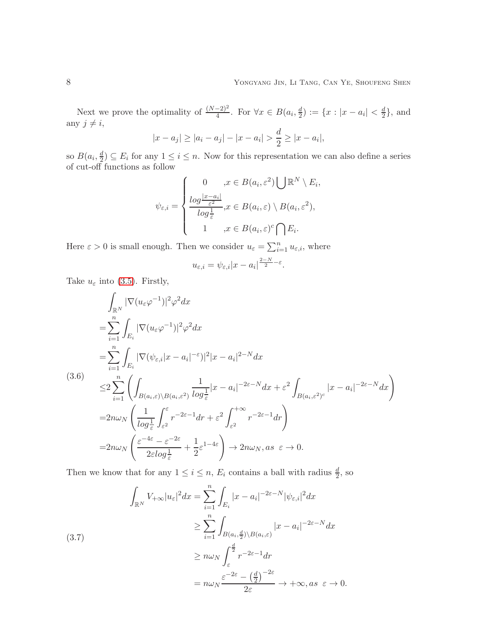Next we prove the optimality of  $\frac{(N-2)^2}{4}$ . For  $\forall x \in B(a_i, \frac{d}{2})$  $\frac{d}{2}$ ) := { $x : |x - a_i| < \frac{d}{2}$  $\frac{d}{2}$ , and any  $j \neq i$ ,

$$
|x - a_j| \ge |a_i - a_j| - |x - a_i| > \frac{d}{2} \ge |x - a_i|,
$$

so  $B(a_i, \frac{d}{2})$  $\frac{a}{2}$ )  $\subseteq E_i$  for any  $1 \leq i \leq n$ . Now for this representation we can also define a series of cut-off functions as follow

$$
\psi_{\varepsilon,i} = \begin{cases}\n0 & ,x \in B(a_i, \varepsilon^2) \bigcup \mathbb{R}^N \setminus E_i, \\
\frac{\log \frac{|x-a_i|}{\varepsilon^2}}{\log \frac{1}{\varepsilon}}, x \in B(a_i, \varepsilon) \setminus B(a_i, \varepsilon^2), \\
1 & ,x \in B(a_i, \varepsilon)^c \bigcap E_i.\n\end{cases}
$$

Here  $\varepsilon > 0$  is small enough. Then we consider  $u_{\varepsilon} = \sum_{i=1}^{n} u_{\varepsilon,i}$ , where

$$
u_{\varepsilon,i}=\psi_{\varepsilon,i}|x-a_i|^{\frac{2-N}{2}-\varepsilon}
$$

.

Take  $u_{\varepsilon}$  into [\(3.5\)](#page-6-0). Firstly,

<span id="page-7-0"></span>
$$
\int_{\mathbb{R}^N} |\nabla (u_{\varepsilon} \varphi^{-1})|^2 \varphi^2 dx
$$
\n
$$
= \sum_{i=1}^n \int_{E_i} |\nabla (u_{\varepsilon} \varphi^{-1})|^2 \varphi^2 dx
$$
\n
$$
= \sum_{i=1}^n \int_{E_i} |\nabla (\psi_{\varepsilon,i}|x - a_i|^{-\varepsilon})|^2 |x - a_i|^{2-N} dx
$$
\n(3.6)\n
$$
\leq 2 \sum_{i=1}^n \left( \int_{B(a_i,\varepsilon) \setminus B(a_i,\varepsilon^2)} \frac{1}{\log_{\varepsilon}^1} |x - a_i|^{-2\varepsilon - N} dx + \varepsilon^2 \int_{B(a_i,\varepsilon^2)^c} |x - a_i|^{-2\varepsilon - N} dx \right)
$$
\n
$$
= 2n\omega_N \left( \frac{1}{\log_{\varepsilon}^1} \int_{\varepsilon^2}^{\varepsilon} r^{-2\varepsilon - 1} dr + \varepsilon^2 \int_{\varepsilon^2}^{+\infty} r^{-2\varepsilon - 1} dr \right)
$$
\n
$$
= 2n\omega_N \left( \frac{\varepsilon^{-4\varepsilon} - \varepsilon^{-2\varepsilon}}{2\varepsilon \log_{\varepsilon}^1} + \frac{1}{2} \varepsilon^{1-4\varepsilon} \right) \to 2n\omega_N, \text{ as } \varepsilon \to 0.
$$

Then we know that for any  $1 \leq i \leq n$ ,  $E_i$  contains a ball with radius  $\frac{d}{2}$ , so

<span id="page-7-1"></span>
$$
\int_{\mathbb{R}^N} V_{+\infty} |u_{\varepsilon}|^2 dx = \sum_{i=1}^n \int_{E_i} |x - a_i|^{-2\varepsilon - N} |\psi_{\varepsilon,i}|^2 dx
$$
\n
$$
\geq \sum_{i=1}^n \int_{B(a_i, \frac{d}{2}) \setminus B(a_i, \varepsilon)} |x - a_i|^{-2\varepsilon - N} dx
$$
\n
$$
\geq n\omega_N \int_{\varepsilon}^{\frac{d}{2}} r^{-2\varepsilon - 1} dr
$$
\n
$$
= n\omega_N \frac{\varepsilon^{-2\varepsilon} - (\frac{d}{2})^{-2\varepsilon}}{2\varepsilon} \to +\infty, as \ \varepsilon \to 0.
$$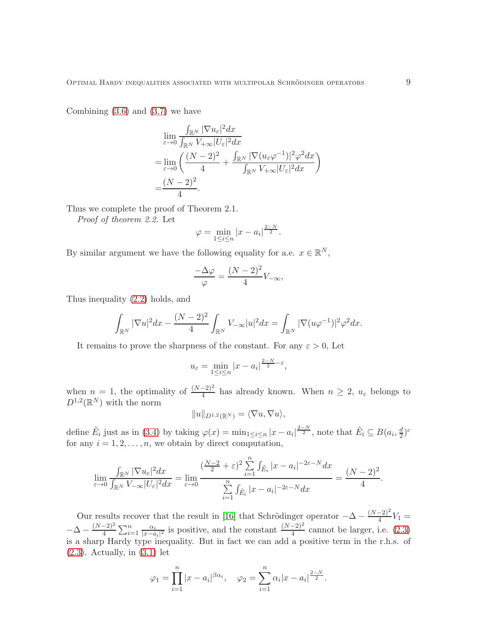Combining  $(3.6)$  and  $(3.7)$  we have

$$
\lim_{\varepsilon \to 0} \frac{\int_{\mathbb{R}^N} |\nabla u_{\varepsilon}|^2 dx}{\int_{\mathbb{R}^N} V_{+\infty} |U_{\varepsilon}|^2 dx}
$$
\n
$$
= \lim_{\varepsilon \to 0} \left( \frac{(N-2)^2}{4} + \frac{\int_{\mathbb{R}^N} |\nabla (u_{\varepsilon} \varphi^{-1})|^2 \varphi^2 dx}{\int_{\mathbb{R}^N} V_{+\infty} |U_{\varepsilon}|^2 dx} \right)
$$
\n
$$
= \frac{(N-2)^2}{4}.
$$

Thus we complete the proof of Theorem 2.1.

Proof of theorem 2.2. Let

$$
\varphi = \min_{1 \le i \le n} |x - a_i|^{\frac{2-N}{2}}.
$$

By similar argument we have the following equality for a.e.  $x \in \mathbb{R}^N$ ,

$$
\frac{-\Delta\varphi}{\varphi} = \frac{(N-2)^2}{4}V_{-\infty},
$$

Thus inequality [\(2.2\)](#page-3-1) holds, and

$$
\int_{\mathbb{R}^N} |\nabla u|^2 dx - \frac{(N-2)^2}{4} \int_{\mathbb{R}^N} V_{-\infty} |u|^2 dx = \int_{\mathbb{R}^N} |\nabla (u \varphi^{-1})|^2 \varphi^2 dx.
$$

It remains to prove the sharpness of the constant. For any  $\varepsilon > 0$ , Let

$$
u_{\varepsilon} = \min_{1 \le i \le n} |x - a_i|^{\frac{2-N}{2} - \varepsilon},
$$

when  $n = 1$ , the optimality of  $\frac{(N-2)^2}{4}$  has already known. When  $n \geq 2$ ,  $u_{\varepsilon}$  belongs to  $D^{1,2}(\mathbb{R}^N)$  with the norm

$$
||u||_{D^{1,2}(\mathbb{R}^N)} = \langle \nabla u, \nabla u \rangle,
$$

define  $\tilde{E}_i$  just as in [\(3.4\)](#page-6-1) by taking  $\varphi(x) = \min_{1 \leq i \leq n} |x - a_i|^{\frac{2-N}{2}}$ , note that  $\tilde{E}_i \subseteq B(a_i, \frac{d}{2})$  $\frac{d}{2})^c$ for any  $i = 1, 2, \ldots, n$ , we obtain by direct computation,

$$
\lim_{\varepsilon \to 0} \frac{\int_{\mathbb{R}^N} |\nabla u_{\varepsilon}|^2 dx}{\int_{\mathbb{R}^N} V_{-\infty} |U_{\varepsilon}|^2 dx} = \lim_{\varepsilon \to 0} \frac{\left(\frac{N-2}{2} + \varepsilon\right)^2 \sum_{i=1}^n \int_{\tilde{E}_i} |x - a_i|^{-2\varepsilon - N} dx}{\sum_{i=1}^n \int_{\tilde{E}_i} |x - a_i|^{-2\varepsilon - N} dx} = \frac{(N-2)^2}{4}.
$$

Our results recover that the result in [\[16\]](#page-14-5) that Schrödinger operator  $-\Delta - \frac{(N-2)^2}{4}V_1 =$ 4  $-\Delta - \frac{(N-2)^2}{4}$  $\frac{(-2)^2}{4} \sum_{i=1}^n \frac{\alpha_i}{|x-a|}$  $\frac{\alpha_i}{|x-a_i|^2}$  is positive, and the constant  $\frac{(N-2)^2}{4}$  cannot be larger, i.e. [\(2.3\)](#page-4-0) is a sharp Hardy type inequality. But in fact we can add a positive term in the r.h.s. of  $(2.3)$ . Actually, in  $(3.1)$  let

$$
\varphi_1 = \prod_{i=1}^n |x - a_i|^{\beta \alpha_i}, \quad \varphi_2 = \sum_{i=1}^n \alpha_i |x - a_i|^{\frac{2-N}{2}}.
$$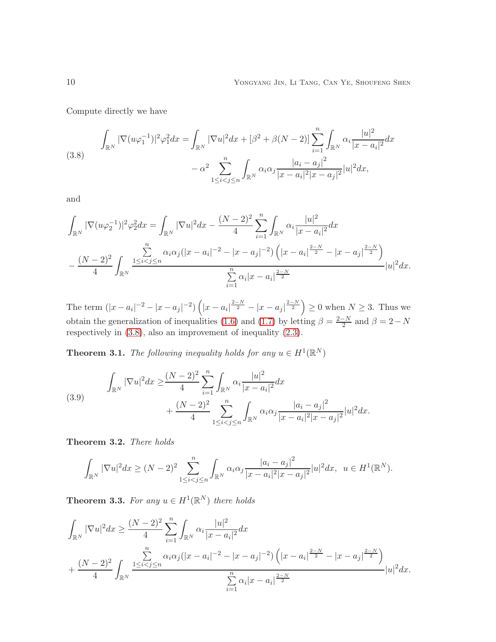Compute directly we have

<span id="page-9-0"></span>(3.8) 
$$
\int_{\mathbb{R}^N} |\nabla(u\varphi_1^{-1})|^2 \varphi_1^2 dx = \int_{\mathbb{R}^N} |\nabla u|^2 dx + [\beta^2 + \beta(N-2)] \sum_{i=1}^n \int_{\mathbb{R}^N} \alpha_i \frac{|u|^2}{|x - a_i|^2} dx - \alpha^2 \sum_{1 \le i < j \le n}^n \int_{\mathbb{R}^N} \alpha_i \alpha_j \frac{|a_i - a_j|^2}{|x - a_i|^2 |x - a_j|^2} |u|^2 dx,
$$

and

$$
\int_{\mathbb{R}^N} |\nabla(u\varphi_2^{-1})|^2 \varphi_2^2 dx = \int_{\mathbb{R}^N} |\nabla u|^2 dx - \frac{(N-2)^2}{4} \sum_{i=1}^n \int_{\mathbb{R}^N} \alpha_i \frac{|u|^2}{|x-a_i|^2} dx
$$

$$
-\frac{(N-2)^2}{4} \int_{\mathbb{R}^N} \frac{\sum_{1 \le i < j \le n}^n \alpha_i \alpha_j (|x-a_i|^{-2} - |x-a_j|^{-2}) \left( |x-a_i|^{\frac{2-N}{2}} - |x-a_j|^{\frac{2-N}{2}} \right)}{\sum_{i=1}^n \alpha_i |x-a_i|^{\frac{2-N}{2}}} |u|^2 dx.
$$

The term  $(|x-a_i|^{-2} - |x-a_j|^{-2}) \left( |x-a_i|^{\frac{2-N}{2}} - |x-a_j|^{\frac{2-N}{2}} \right) \ge 0$  when  $N \ge 3$ . Thus we obtain the generalization of inequalities [\(1.6\)](#page-1-0) and [\(1.7\)](#page-2-0) by letting  $\beta = \frac{2-N}{2}$  $\frac{-N}{2}$  and  $\beta = 2 - N$ respectively in [\(3.8\)](#page-9-0), also an improvement of inequality [\(2.3\)](#page-4-0).

**Theorem 3.1.** The following inequality holds for any  $u \in H^1(\mathbb{R}^N)$ 

<span id="page-9-1"></span>(3.9) 
$$
\int_{\mathbb{R}^N} |\nabla u|^2 dx \geq \frac{(N-2)^2}{4} \sum_{i=1}^n \int_{\mathbb{R}^N} \alpha_i \frac{|u|^2}{|x-a_i|^2} dx + \frac{(N-2)^2}{4} \sum_{1 \leq i < j \leq n} \int_{\mathbb{R}^N} \alpha_i \alpha_j \frac{|a_i-a_j|^2}{|x-a_i|^2 |x-a_j|^2} |u|^2 dx.
$$

Theorem 3.2. There holds

$$
\int_{\mathbb{R}^N} |\nabla u|^2 dx \ge (N-2)^2 \sum_{1 \le i < j \le n}^n \int_{\mathbb{R}^N} \alpha_i \alpha_j \frac{|a_i - a_j|^2}{|x - a_i|^2 |x - a_j|^2} |u|^2 dx, \ u \in H^1(\mathbb{R}^N).
$$

**Theorem 3.3.** For any  $u \in H^1(\mathbb{R}^N)$  there holds

$$
\int_{\mathbb{R}^N} |\nabla u|^2 dx \ge \frac{(N-2)^2}{4} \sum_{i=1}^n \int_{\mathbb{R}^N} \alpha_i \frac{|u|^2}{|x - a_i|^2} dx \n+ \frac{(N-2)^2}{4} \int_{\mathbb{R}^N} \frac{\sum_{i \le i < j \le n}^n \alpha_i \alpha_j (|x - a_i|^{-2} - |x - a_j|^{-2}) \left( |x - a_i|^{\frac{2-N}{2}} - |x - a_j|^{\frac{2-N}{2}} \right)}{\sum_{i=1}^n \alpha_i |x - a_i|^{\frac{2-N}{2}}} |u|^2 dx.
$$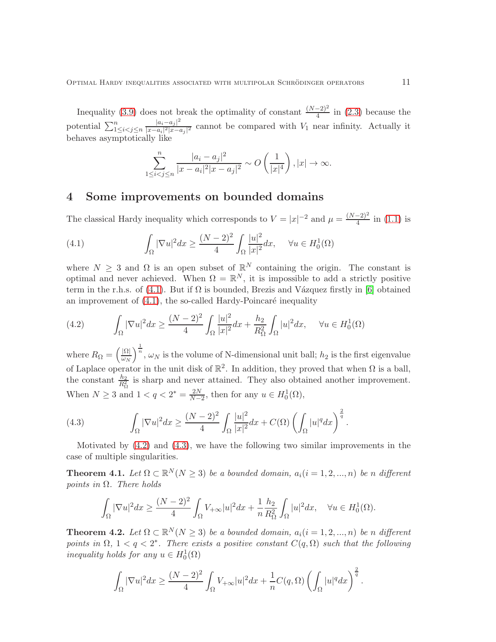Inequality [\(3.9\)](#page-9-1) does not break the optimality of constant  $\frac{(N-2)^2}{4}$  in [\(2.3\)](#page-4-0) because the potential  $\sum_{1 \leq i < j \leq n}^{n}$  $|a_i-a_j|^2$  $\frac{|a_i-a_j|}{|x-a_i|^2|x-a_j|^2}$  cannot be compared with  $V_1$  near infinity. Actually it behaves asymptotically like

$$
\sum_{1 \leq i < j \leq n}^{n} \frac{|a_i - a_j|^2}{|x - a_i|^2 |x - a_j|^2} \sim O\left(\frac{1}{|x|^4}\right), |x| \to \infty.
$$

#### 4 Some improvements on bounded domains

The classical Hardy inequality which corresponds to  $V = |x|^{-2}$  and  $\mu = \frac{(N-2)^2}{4}$  $\frac{-2j}{4}$  in  $(1.1)$  is

<span id="page-10-0"></span>(4.1) 
$$
\int_{\Omega} |\nabla u|^2 dx \ge \frac{(N-2)^2}{4} \int_{\Omega} \frac{|u|^2}{|x|^2} dx, \quad \forall u \in H_0^1(\Omega)
$$

where  $N \geq 3$  and  $\Omega$  is an open subset of  $\mathbb{R}^N$  containing the origin. The constant is optimal and never achieved. When  $\Omega = \mathbb{R}^N$ , it is impossible to add a strictly positive term in the r.h.s. of [\(4.1\)](#page-10-0). But if  $\Omega$  is bounded, Brezis and Vázquez firstly in [\[6\]](#page-14-0) obtained an improvement of  $(4.1)$ , the so-called Hardy-Poincaré inequality

<span id="page-10-1"></span>(4.2) 
$$
\int_{\Omega} |\nabla u|^2 dx \ge \frac{(N-2)^2}{4} \int_{\Omega} \frac{|u|^2}{|x|^2} dx + \frac{h_2}{R_{\Omega}^2} \int_{\Omega} |u|^2 dx, \quad \forall u \in H_0^1(\Omega)
$$

where  $R_{\Omega} = \left(\frac{|\Omega|}{\omega_N}\right)$  $\left(\frac{|\Omega|}{\omega_N}\right)^{\frac{1}{n}}$ ,  $\omega_N$  is the volume of N-dimensional unit ball;  $h_2$  is the first eigenvalue of Laplace operator in the unit disk of  $\mathbb{R}^2$ . In addition, they proved that when  $\Omega$  is a ball, the constant  $\frac{h_2}{R_{\Omega}^2}$  is sharp and never attained. They also obtained another improvement. When  $N \ge 3$  and  $1 < q < 2^* = \frac{2N}{N-1}$  $\frac{2N}{N-2}$ , then for any  $u \in H_0^1(\Omega)$ ,

<span id="page-10-2"></span>(4.3) 
$$
\int_{\Omega} |\nabla u|^2 dx \geq \frac{(N-2)^2}{4} \int_{\Omega} \frac{|u|^2}{|x|^2} dx + C(\Omega) \left( \int_{\Omega} |u|^q dx \right)^{\frac{2}{q}}.
$$

Motivated by  $(4.2)$  and  $(4.3)$ , we have the following two similar improvements in the case of multiple singularities.

**Theorem 4.1.** Let  $\Omega \subset \mathbb{R}^N (N \geq 3)$  be a bounded domain,  $a_i (i = 1, 2, ..., n)$  be n different *points in*  $\Omega$ . There holds

$$
\int_{\Omega} |\nabla u|^2 dx \ge \frac{(N-2)^2}{4} \int_{\Omega} V_{+\infty} |u|^2 dx + \frac{1}{n} \frac{h_2}{R_{\Omega}^2} \int_{\Omega} |u|^2 dx, \quad \forall u \in H_0^1(\Omega).
$$

**Theorem 4.2.** Let  $\Omega \subset \mathbb{R}^N (N \geq 3)$  be a bounded domain,  $a_i (i = 1, 2, ..., n)$  be n different points in  $\Omega$ ,  $1 < q < 2^*$ . There exists a positive constant  $C(q, \Omega)$  such that the following inequality holds for any  $u \in H_0^1(\Omega)$ 

$$
\int_{\Omega} |\nabla u|^2 dx \geq \frac{(N-2)^2}{4} \int_{\Omega} V_{+\infty} |u|^2 dx + \frac{1}{n} C(q,\Omega) \left( \int_{\Omega} |u|^q dx \right)^{\frac{2}{q}}.
$$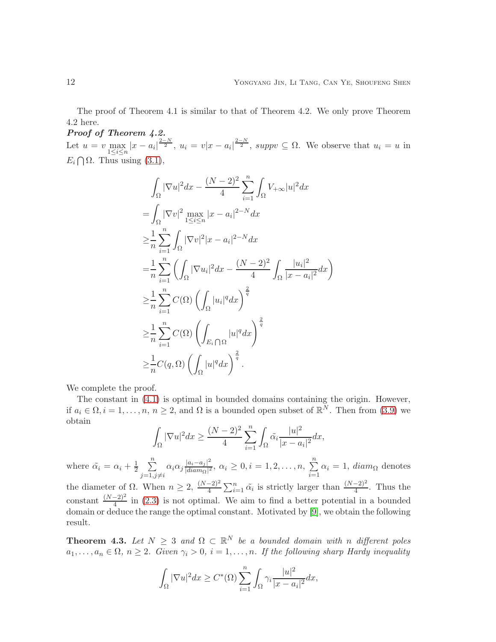The proof of Theorem 4.1 is similar to that of Theorem 4.2. We only prove Theorem 4.2 here.

Proof of Theorem 4.2. Let  $u = v \max_{1 \leq i \leq n} |x - a_i|^{\frac{2-N}{2}}, u_i = v|x - a_i|^{\frac{2-N}{2}}, \text{suppv} \subseteq \Omega$ . We observe that  $u_i = u$  in  $E_i \bigcap \Omega$ . Thus using [\(3.1\)](#page-5-0),

$$
\int_{\Omega} |\nabla u|^2 dx - \frac{(N-2)^2}{4} \sum_{i=1}^n \int_{\Omega} V_{+\infty} |u|^2 dx
$$
  
\n
$$
= \int_{\Omega} |\nabla v|^2 \max_{1 \le i \le n} |x - a_i|^{2-N} dx
$$
  
\n
$$
\ge \frac{1}{n} \sum_{i=1}^n \int_{\Omega} |\nabla v|^2 |x - a_i|^{2-N} dx
$$
  
\n
$$
= \frac{1}{n} \sum_{i=1}^n \left( \int_{\Omega} |\nabla u_i|^2 dx - \frac{(N-2)^2}{4} \int_{\Omega} \frac{|u_i|^2}{|x - a_i|^2} dx \right)
$$
  
\n
$$
\ge \frac{1}{n} \sum_{i=1}^n C(\Omega) \left( \int_{\Omega} |u_i|^q dx \right)^{\frac{2}{q}}
$$
  
\n
$$
\ge \frac{1}{n} \sum_{i=1}^n C(\Omega) \left( \int_{E_i \cap \Omega} |u|^q dx \right)^{\frac{2}{q}}
$$
  
\n
$$
\ge \frac{1}{n} C(q, \Omega) \left( \int_{\Omega} |u|^q dx \right)^{\frac{2}{q}}.
$$

We complete the proof.

The constant in [\(4.1\)](#page-10-0) is optimal in bounded domains containing the origin. However, if  $a_i \in \Omega, i = 1, \ldots, n, n \geq 2$ , and  $\Omega$  is a bounded open subset of  $\mathbb{R}^N$ . Then from [\(3.9\)](#page-9-1) we obtain

$$
\int_{\Omega} |\nabla u|^2 dx \ge \frac{(N-2)^2}{4} \sum_{i=1}^n \int_{\Omega} \tilde{\alpha}_i \frac{|u|^2}{|x - a_i|^2} dx,
$$

where  $\tilde{\alpha}_i = \alpha_i + \frac{1}{2}$  $\frac{1}{2}$   $\sum_{n=1}^{n}$  $j=1,j\neq i$  $\alpha_i \alpha_j \frac{|a_i-a_j|^2}{|diam_{\Omega}|^2}$  $\frac{|a_i-a_j|^2}{|diam_{\Omega}|^2}, \ \alpha_i \geq 0, i = 1, 2, \ldots, n, \ \sum_{i=1}^n$  $i=1$  $\alpha_i = 1$ ,  $diam_\Omega$  denotes the diameter of  $\Omega$ . When  $n \geq 2$ ,  $\frac{(N-2)^2}{4} \sum_{i=1}^n \tilde{\alpha}_i$  is strictly larger than  $\frac{(N-2)^2}{4}$ . Thus the constant  $\frac{(N-2)^2}{4}$  in [\(2.3\)](#page-4-0) is not optimal. We aim to find a better potential in a bounded domain or deduce the range the optimal constant. Motivated by [\[9\]](#page-14-10), we obtain the following result.

**Theorem 4.3.** Let  $N \geq 3$  and  $\Omega \subset \mathbb{R}^N$  be a bounded domain with n different poles  $a_1, \ldots, a_n \in \Omega, n \geq 2$ . Given  $\gamma_i > 0$ ,  $i = 1, \ldots, n$ . If the following sharp Hardy inequality

$$
\int_{\Omega} |\nabla u|^2 dx \ge C^*(\Omega) \sum_{i=1}^n \int_{\Omega} \gamma_i \frac{|u|^2}{|x - a_i|^2} dx,
$$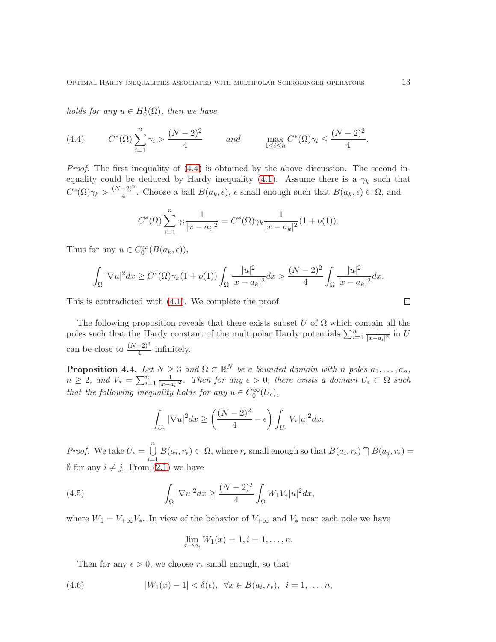holds for any  $u \in H_0^1(\Omega)$ , then we have

<span id="page-12-0"></span>(4.4) 
$$
C^*(\Omega) \sum_{i=1}^n \gamma_i > \frac{(N-2)^2}{4}
$$
 and  $\max_{1 \le i \le n} C^*(\Omega) \gamma_i \le \frac{(N-2)^2}{4}$ .

Proof. The first inequality of  $(4.4)$  is obtained by the above discussion. The second in-equality could be deduced by Hardy inequality [\(4.1\)](#page-10-0). Assume there is a  $\gamma_k$  such that  $C^*(\Omega) \gamma_k > \frac{(N-2)^2}{4}$  $\frac{-2}{4}$ . Choose a ball  $B(a_k, \epsilon)$ ,  $\epsilon$  small enough such that  $B(a_k, \epsilon) \subset \Omega$ , and

$$
C^{*}(\Omega) \sum_{i=1}^{n} \gamma_i \frac{1}{|x - a_i|^2} = C^{*}(\Omega) \gamma_k \frac{1}{|x - a_k|^2} (1 + o(1)).
$$

Thus for any  $u \in C_0^{\infty}(B(a_k, \epsilon)),$ 

$$
\int_{\Omega} |\nabla u|^2 dx \ge C^*(\Omega)\gamma_k(1+o(1)) \int_{\Omega} \frac{|u|^2}{|x-a_k|^2} dx > \frac{(N-2)^2}{4} \int_{\Omega} \frac{|u|^2}{|x-a_k|^2} dx.
$$

This is contradicted with [\(4.1\)](#page-10-0). We complete the proof.

The following proposition reveals that there exists subset  $U$  of  $\Omega$  which contain all the poles such that the Hardy constant of the multipolar Hardy potentials  $\sum_{i=1}^{n} \frac{1}{|x-c_i|}$  $\frac{1}{|x-a_i|^2}$  in U can be close to  $\frac{(N-2)^2}{4}$  infinitely.

**Proposition 4.4.** Let  $N \geq 3$  and  $\Omega \subset \mathbb{R}^N$  be a bounded domain with n poles  $a_1, \ldots, a_n$ ,  $n \geq 2$ , and  $V_* = \sum_{i=1}^n \frac{1}{|x-i|^2}$  $\frac{1}{|x-a_i|^2}$ . Then for any  $\epsilon > 0$ , there exists a domain  $U_{\epsilon} \subset \Omega$  such that the following inequality holds for any  $u \in C_0^{\infty}(U_{\epsilon}),$ 

$$
\int_{U_{\epsilon}} |\nabla u|^2 dx \ge \left(\frac{(N-2)^2}{4} - \epsilon\right) \int_{U_{\epsilon}} V_* |u|^2 dx.
$$

*Proof.* We take  $U_{\epsilon} = \bigcup_{n=1}^{\infty}$  $i=1$  $B(a_i, r_{\epsilon}) \subset \Omega$ , where  $r_{\epsilon}$  small enough so that  $B(a_i, r_{\epsilon}) \cap B(a_j, r_{\epsilon}) =$  $\emptyset$  for any  $i \neq j$ . From  $(2.1)$  we have

(4.5) 
$$
\int_{\Omega} |\nabla u|^2 dx \geq \frac{(N-2)^2}{4} \int_{\Omega} W_1 V_* |u|^2 dx,
$$

where  $W_1 = V_{+\infty}V_*$ . In view of the behavior of  $V_{+\infty}$  and  $V_*$  near each pole we have

<span id="page-12-2"></span><span id="page-12-1"></span>
$$
\lim_{x \to a_i} W_1(x) = 1, i = 1, \dots, n.
$$

Then for any  $\epsilon > 0$ , we choose  $r_{\epsilon}$  small enough, so that

(4.6) 
$$
|W_1(x) - 1| < \delta(\epsilon), \quad \forall x \in B(a_i, r_{\epsilon}), \quad i = 1, \ldots, n,
$$

 $\Box$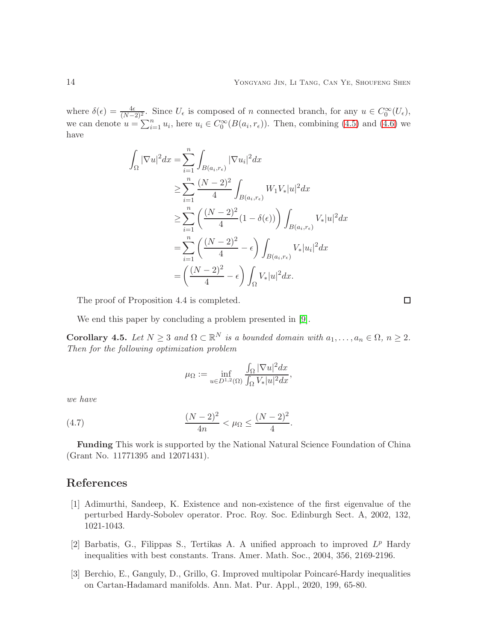where  $\delta(\epsilon) = \frac{4\epsilon}{(N-2)^2}$ . Since  $U_{\epsilon}$  is composed of n connected branch, for any  $u \in C_0^{\infty}(U_{\epsilon})$ , we can denote  $u = \sum_{i=1}^n u_i$ , here  $u_i \in C_0^{\infty}(B(a_i, r_{\epsilon}))$ . Then, combining [\(4.5\)](#page-12-1) and [\(4.6\)](#page-12-2) we have

$$
\int_{\Omega} |\nabla u|^2 dx = \sum_{i=1}^n \int_{B(a_i, r_{\epsilon})} |\nabla u_i|^2 dx
$$
  
\n
$$
\geq \sum_{i=1}^n \frac{(N-2)^2}{4} \int_{B(a_i, r_{\epsilon})} W_1 V_* |u|^2 dx
$$
  
\n
$$
\geq \sum_{i=1}^n \left( \frac{(N-2)^2}{4} (1 - \delta(\epsilon)) \right) \int_{B(a_i, r_{\epsilon})} V_* |u|^2 dx
$$
  
\n
$$
= \sum_{i=1}^n \left( \frac{(N-2)^2}{4} - \epsilon \right) \int_{B(a_i, r_{\epsilon})} V_* |u_i|^2 dx
$$
  
\n
$$
= \left( \frac{(N-2)^2}{4} - \epsilon \right) \int_{\Omega} V_* |u|^2 dx.
$$

The proof of Proposition 4.4 is completed.

$$
\Box
$$

We end this paper by concluding a problem presented in [\[9\]](#page-14-10).

**Corollary 4.5.** Let  $N \geq 3$  and  $\Omega \subset \mathbb{R}^N$  is a bounded domain with  $a_1, \ldots, a_n \in \Omega, n \geq 2$ . Then for the following optimization problem

$$
\mu_{\Omega} := \inf_{u \in D^{1,2}(\Omega)} \frac{\int_{\Omega} |\nabla u|^2 dx}{\int_{\Omega} V_* |u|^2 dx},
$$

we have

(4.7) 
$$
\frac{(N-2)^2}{4n} < \mu_\Omega \le \frac{(N-2)^2}{4}.
$$

Funding This work is supported by the National Natural Science Foundation of China (Grant No. 11771395 and 12071431).

### <span id="page-13-0"></span>References

- [1] Adimurthi, Sandeep, K. Existence and non-existence of the first eigenvalue of the perturbed Hardy-Sobolev operator. Proc. Roy. Soc. Edinburgh Sect. A, 2002, 132, 1021-1043.
- <span id="page-13-1"></span>[2] Barbatis, G., Filippas S., Tertikas A. A unified approach to improved  $L^p$  Hardy inequalities with best constants. Trans. Amer. Math. Soc., 2004, 356, 2169-2196.
- <span id="page-13-2"></span>[3] Berchio, E., Ganguly, D., Grillo, G. Improved multipolar Poincaré-Hardy inequalities on Cartan-Hadamard manifolds. Ann. Mat. Pur. Appl., 2020, 199, 65-80.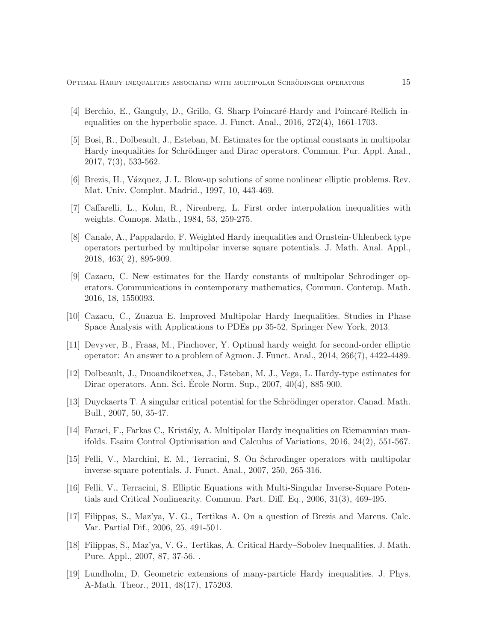- <span id="page-14-12"></span><span id="page-14-7"></span>[4] Berchio, E., Ganguly, D., Grillo, G. Sharp Poincaré-Hardy and Poincaré-Rellich inequalities on the hyperbolic space. J. Funct. Anal., 2016, 272(4), 1661-1703.
- [5] Bosi, R., Dolbeault, J., Esteban, M. Estimates for the optimal constants in multipolar Hardy inequalities for Schrödinger and Dirac operators. Commun. Pur. Appl. Anal., 2017, 7(3), 533-562.
- <span id="page-14-1"></span><span id="page-14-0"></span>[6] Brezis, H., V´azquez, J. L. Blow-up solutions of some nonlinear elliptic problems. Rev. Mat. Univ. Complut. Madrid., 1997, 10, 443-469.
- <span id="page-14-13"></span>[7] Caffarelli, L., Kohn, R., Nirenberg, L. First order interpolation inequalities with weights. Comops. Math., 1984, 53, 259-275.
- [8] Canale, A., Pappalardo, F. Weighted Hardy inequalities and Ornstein-Uhlenbeck type operators perturbed by multipolar inverse square potentials. J. Math. Anal. Appl., 2018, 463( 2), 895-909.
- <span id="page-14-10"></span>[9] Cazacu, C. New estimates for the Hardy constants of multipolar Schrodinger operators. Communications in contemporary mathematics, Commun. Contemp. Math. 2016, 18, 1550093.
- <span id="page-14-9"></span><span id="page-14-8"></span>[10] Cazacu, C., Zuazua E. Improved Multipolar Hardy Inequalities. Studies in Phase Space Analysis with Applications to PDEs pp 35-52, Springer New York, 2013.
- [11] Devyver, B., Fraas, M., Pinchover, Y. Optimal hardy weight for second-order elliptic operator: An answer to a problem of Agmon. J. Funct. Anal., 2014, 266(7), 4422-4489.
- <span id="page-14-2"></span>[12] Dolbeault, J., Duoandikoetxea, J., Esteban, M. J., Vega, L. Hardy-type estimates for Dirac operators. Ann. Sci. Ecole Norm. Sup., 2007, 40(4), 885-900. ´
- <span id="page-14-11"></span><span id="page-14-3"></span>[13] Duyckaerts T. A singular critical potential for the Schrödinger operator. Canad. Math. Bull., 2007, 50, 35-47.
- <span id="page-14-6"></span>[14] Faraci, F., Farkas C., Kristály, A. Multipolar Hardy inequalities on Riemannian manifolds. Esaim Control Optimisation and Calculus of Variations, 2016, 24(2), 551-567.
- <span id="page-14-5"></span>[15] Felli, V., Marchini, E. M., Terracini, S. On Schrodinger operators with multipolar inverse-square potentials. J. Funct. Anal., 2007, 250, 265-316.
- [16] Felli, V., Terracini, S. Elliptic Equations with Multi-Singular Inverse-Square Potentials and Critical Nonlinearity. Commun. Part. Diff. Eq., 2006, 31(3), 469-495.
- <span id="page-14-4"></span>[17] Filippas, S., Maz'ya, V. G., Tertikas A. On a question of Brezis and Marcus. Calc. Var. Partial Dif., 2006, 25, 491-501.
- [18] Filippas, S., Maz'ya, V. G., Tertikas, A. Critical Hardy–Sobolev Inequalities. J. Math. Pure. Appl., 2007, 87, 37-56. .
- [19] Lundholm, D. Geometric extensions of many-particle Hardy inequalities. J. Phys. A-Math. Theor., 2011, 48(17), 175203.